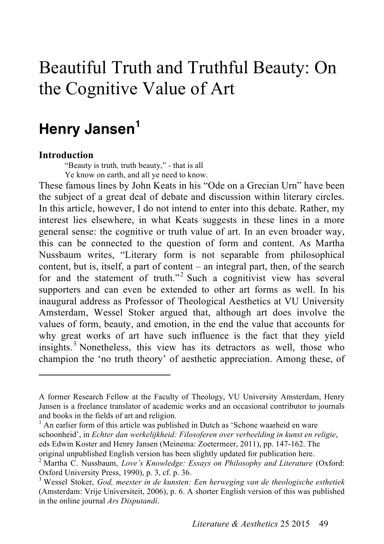# Beautiful Truth and Truthful Beauty: On the Cognitive Value of Art

## **Henry Jansen<sup>1</sup>**

#### **Introduction**

 $\overline{a}$ 

"Beauty is truth*,* truth beauty," *-* that is all Ye know on earth, and all ye need to know.

These famous lines by John Keats in his "Ode on a Grecian Urn" have been the subject of a great deal of debate and discussion within literary circles. In this article, however, I do not intend to enter into this debate. Rather, my interest lies elsewhere, in what Keats suggests in these lines in a more general sense: the cognitive or truth value of art. In an even broader way, this can be connected to the question of form and content. As Martha Nussbaum writes, "Literary form is not separable from philosophical content, but is, itself, a part of content – an integral part, then, of the search for and the statement of truth."<sup>2</sup> Such a cognitivist view has several supporters and can even be extended to other art forms as well. In his inaugural address as Professor of Theological Aesthetics at VU University Amsterdam, Wessel Stoker argued that, although art does involve the values of form, beauty, and emotion, in the end the value that accounts for why great works of art have such influence is the fact that they yield insights. 3 Nonetheless, this view has its detractors as well, those who champion the 'no truth theory' of aesthetic appreciation. Among these, of

<sup>1</sup> An earlier form of this article was published in Dutch as 'Schone waarheid en ware schoonheid', in *Echter dan werkelijkheid: Filosoferen over verbeelding in kunst en religie*, eds Edwin Koster and Henry Jansen (Meinema: Zoetermeer, 2011), pp. 147-162. The original unpublished English version has been slightly updated for publication here.

A former Research Fellow at the Faculty of Theology, VU University Amsterdam, Henry Jansen is a freelance translator of academic works and an occasional contributor to journals and books in the fields of art and religion.

<sup>2</sup> Martha C. Nussbaum, *Love's Knowledge: Essays on Philosophy and Literature* (Oxford: Oxford University Press, 1990), p. 3, cf. p. 36.<br><sup>3</sup> Wessel Stoker, *God, meester in de kunsten: Een herweging van de theologische esthetiek* 

<sup>(</sup>Amsterdam: Vrije Universiteit, 2006), p. 6. A shorter English version of this was published in the online journal *Ars Disputandi*.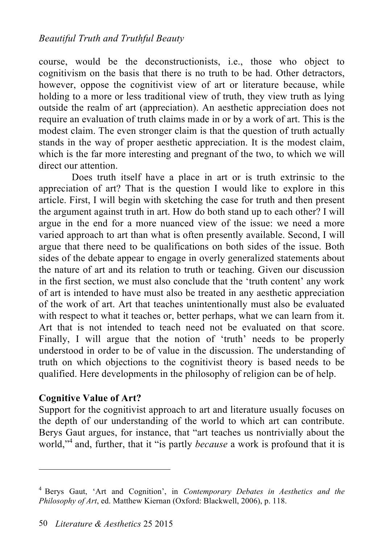#### *Beautiful Truth and Truthful Beauty*

course, would be the deconstructionists, i.e., those who object to cognitivism on the basis that there is no truth to be had. Other detractors, however, oppose the cognitivist view of art or literature because, while holding to a more or less traditional view of truth, they view truth as lying outside the realm of art (appreciation). An aesthetic appreciation does not require an evaluation of truth claims made in or by a work of art. This is the modest claim. The even stronger claim is that the question of truth actually stands in the way of proper aesthetic appreciation. It is the modest claim, which is the far more interesting and pregnant of the two, to which we will direct our attention.

Does truth itself have a place in art or is truth extrinsic to the appreciation of art? That is the question I would like to explore in this article. First, I will begin with sketching the case for truth and then present the argument against truth in art. How do both stand up to each other? I will argue in the end for a more nuanced view of the issue: we need a more varied approach to art than what is often presently available. Second, I will argue that there need to be qualifications on both sides of the issue. Both sides of the debate appear to engage in overly generalized statements about the nature of art and its relation to truth or teaching. Given our discussion in the first section, we must also conclude that the 'truth content' any work of art is intended to have must also be treated in any aesthetic appreciation of the work of art. Art that teaches unintentionally must also be evaluated with respect to what it teaches or, better perhaps, what we can learn from it. Art that is not intended to teach need not be evaluated on that score. Finally, I will argue that the notion of 'truth' needs to be properly understood in order to be of value in the discussion. The understanding of truth on which objections to the cognitivist theory is based needs to be qualified. Here developments in the philosophy of religion can be of help.

#### **Cognitive Value of Art?**

 $\overline{a}$ 

Support for the cognitivist approach to art and literature usually focuses on the depth of our understanding of the world to which art can contribute. Berys Gaut argues, for instance, that "art teaches us nontrivially about the world,"<sup>4</sup> and, further, that it "is partly *because* a work is profound that it is

<sup>4</sup> Berys Gaut, 'Art and Cognition', in *Contemporary Debates in Aesthetics and the Philosophy of Art*, ed. Matthew Kiernan (Oxford: Blackwell, 2006), p. 118.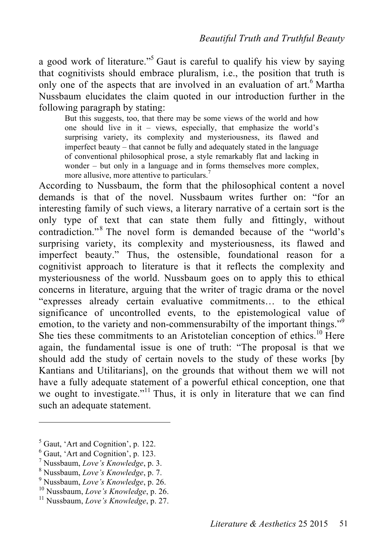a good work of literature."<sup>5</sup> Gaut is careful to qualify his view by saying that cognitivists should embrace pluralism, i.e., the position that truth is only one of the aspects that are involved in an evaluation of art.<sup>6</sup> Martha Nussbaum elucidates the claim quoted in our introduction further in the following paragraph by stating:

But this suggests, too, that there may be some views of the world and how one should live in it – views, especially, that emphasize the world's surprising variety, its complexity and mysteriousness, its flawed and imperfect beauty – that cannot be fully and adequately stated in the language of conventional philosophical prose, a style remarkably flat and lacking in wonder – but only in a language and in forms themselves more complex, more allusive, more attentive to particulars. 7

According to Nussbaum, the form that the philosophical content a novel demands is that of the novel. Nussbaum writes further on: "for an interesting family of such views, a literary narrative of a certain sort is the only type of text that can state them fully and fittingly, without contradiction."<sup>8</sup> The novel form is demanded because of the "world's surprising variety, its complexity and mysteriousness, its flawed and imperfect beauty." Thus, the ostensible, foundational reason for a cognitivist approach to literature is that it reflects the complexity and mysteriousness of the world. Nussbaum goes on to apply this to ethical concerns in literature, arguing that the writer of tragic drama or the novel "expresses already certain evaluative commitments… to the ethical significance of uncontrolled events, to the epistemological value of emotion, to the variety and non-commensurabilty of the important things."<sup>9</sup> She ties these commitments to an Aristotelian conception of ethics.<sup>10</sup> Here again, the fundamental issue is one of truth: "The proposal is that we should add the study of certain novels to the study of these works [by Kantians and Utilitarians], on the grounds that without them we will not have a fully adequate statement of a powerful ethical conception, one that we ought to investigate."<sup>11</sup> Thus, it is only in literature that we can find such an adequate statement.

<sup>&</sup>lt;sup>5</sup> Gaut, 'Art and Cognition', p. 122.<br>
<sup>6</sup> Gaut, 'Art and Cognition', p. 123.<br>
<sup>7</sup> Nussbaum, *Love's Knowledge*, p. 3.<br>
<sup>8</sup> Nussbaum, *Love's Knowledge*, p. 7.<br>
<sup>9</sup> Nussbaum, *Love's Knowledge*, p. 26.<br>
<sup>10</sup> Nussbaum, *L*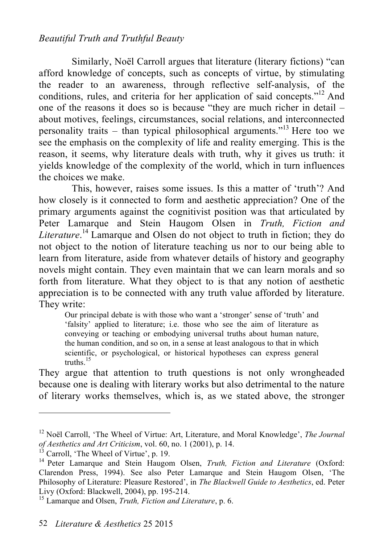#### *Beautiful Truth and Truthful Beauty*

Similarly, Noël Carroll argues that literature (literary fictions) "can afford knowledge of concepts, such as concepts of virtue, by stimulating the reader to an awareness, through reflective self-analysis, of the conditions, rules, and criteria for her application of said concepts." 12 And one of the reasons it does so is because "they are much richer in detail – about motives, feelings, circumstances, social relations, and interconnected personality traits – than typical philosophical arguments." 13 Here too we see the emphasis on the complexity of life and reality emerging. This is the reason, it seems, why literature deals with truth, why it gives us truth: it yields knowledge of the complexity of the world, which in turn influences the choices we make.

This, however, raises some issues. Is this a matter of 'truth'? And how closely is it connected to form and aesthetic appreciation? One of the primary arguments against the cognitivist position was that articulated by Peter Lamarque and Stein Haugom Olsen in *Truth, Fiction and Literature*. 14 Lamarque and Olsen do not object to truth in fiction; they do not object to the notion of literature teaching us nor to our being able to learn from literature, aside from whatever details of history and geography novels might contain. They even maintain that we can learn morals and so forth from literature. What they object to is that any notion of aesthetic appreciation is to be connected with any truth value afforded by literature. They write:

Our principal debate is with those who want a 'stronger' sense of 'truth' and 'falsity' applied to literature; i.e. those who see the aim of literature as conveying or teaching or embodying universal truths about human nature, the human condition, and so on, in a sense at least analogous to that in which scientific, or psychological, or historical hypotheses can express general truths. 15

They argue that attention to truth questions is not only wrongheaded because one is dealing with literary works but also detrimental to the nature of literary works themselves, which is, as we stated above, the stronger

<sup>12</sup> Noël Carroll, 'The Wheel of Virtue: Art, Literature, and Moral Knowledge', *The Journal of Aesthetics and Art Criticism*, vol. 60, no. 1 (2001), p. 14.<br><sup>13</sup> Carroll, 'The Wheel of Virtue', p. 19.<br><sup>14</sup> Peter Lamarque and Stein Haugom Olsen, *Truth, Fiction and Literature* (Oxford:

Clarendon Press, 1994). See also Peter Lamarque and Stein Haugom Olsen, 'The Philosophy of Literature: Pleasure Restored', in *The Blackwell Guide to Aesthetics*, ed. Peter

<sup>&</sup>lt;sup>15</sup> Lamarque and Olsen, *Truth, Fiction and Literature*, p. 6.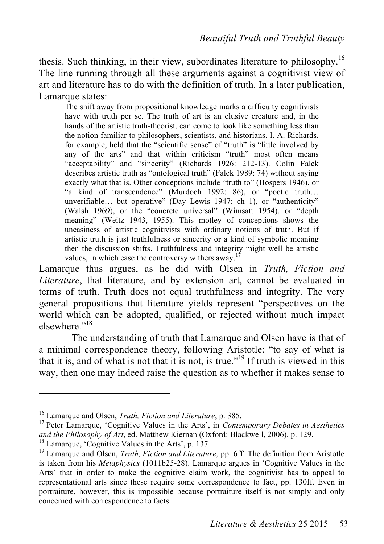thesis. Such thinking, in their view, subordinates literature to philosophy.<sup>16</sup> The line running through all these arguments against a cognitivist view of art and literature has to do with the definition of truth. In a later publication, Lamarque states:

The shift away from propositional knowledge marks a difficulty cognitivists have with truth per se. The truth of art is an elusive creature and, in the hands of the artistic truth-theorist, can come to look like something less than the notion familiar to philosophers, scientists, and historians. I. A. Richards, for example, held that the "scientific sense" of "truth" is "little involved by any of the arts" and that within criticism "truth" most often means "acceptability" and "sincerity" (Richards 1926: 212-13). Colin Falck describes artistic truth as "ontological truth" (Falck 1989: 74) without saying exactly what that is. Other conceptions include "truth to" (Hospers 1946), or "a kind of transcendence" (Murdoch 1992: 86), or "poetic truth… unverifiable... but operative" (Day Lewis 1947: ch 1), or "authenticity" (Walsh 1969), or the "concrete universal" (Wimsatt 1954), or "depth meaning" (Weitz 1943, 1955). This motley of conceptions shows the uneasiness of artistic cognitivists with ordinary notions of truth. But if artistic truth is just truthfulness or sincerity or a kind of symbolic meaning then the discussion shifts. Truthfulness and integrity might well be artistic values, in which case the controversy withers away.<sup>17</sup>

Lamarque thus argues, as he did with Olsen in *Truth, Fiction and Literature*, that literature, and by extension art, cannot be evaluated in terms of truth. Truth does not equal truthfulness and integrity. The very general propositions that literature yields represent "perspectives on the world which can be adopted, qualified, or rejected without much impact elsewhere."<sup>18</sup>

The understanding of truth that Lamarque and Olsen have is that of a minimal correspondence theory, following Aristotle: "to say of what is that it is, and of what is not that it is not, is true." 19 If truth is viewed in this way, then one may indeed raise the question as to whether it makes sense to

<sup>&</sup>lt;sup>16</sup> Lamarque and Olsen, *Truth, Fiction and Literature*, p. 385.<br><sup>17</sup> Peter Lamarque, 'Cognitive Values in the Arts', in *Contemporary Debates in Aesthetics* and the Philosophy of Art, ed. Matthew Kiernan (Oxford: Blackwell, 2006), p. 129.<br><sup>18</sup> Lamarque, 'Cognitive Values in the Arts', p. 137<br><sup>19</sup> Lamarque and Olsen, *Truth, Fiction and Literature*, pp. 6ff. The definition from

is taken from his *Metaphysics* (1011b25-28). Lamarque argues in 'Cognitive Values in the Arts' that in order to make the cognitive claim work, the cognitivist has to appeal to representational arts since these require some correspondence to fact, pp. 130ff. Even in portraiture, however, this is impossible because portraiture itself is not simply and only concerned with correspondence to facts.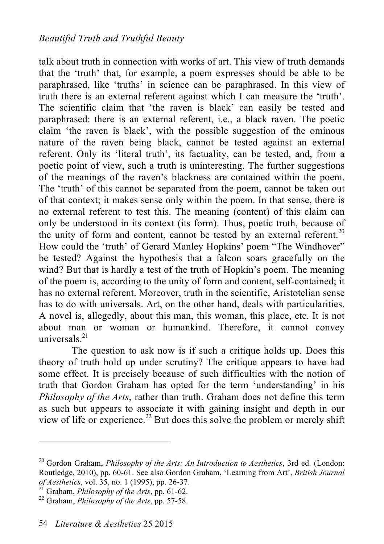talk about truth in connection with works of art. This view of truth demands that the 'truth' that, for example, a poem expresses should be able to be paraphrased, like 'truths' in science can be paraphrased. In this view of truth there is an external referent against which I can measure the 'truth'. The scientific claim that 'the raven is black' can easily be tested and paraphrased: there is an external referent, i.e., a black raven. The poetic claim 'the raven is black', with the possible suggestion of the ominous nature of the raven being black, cannot be tested against an external referent. Only its 'literal truth', its factuality, can be tested, and, from a poetic point of view, such a truth is uninteresting. The further suggestions of the meanings of the raven's blackness are contained within the poem. The 'truth' of this cannot be separated from the poem, cannot be taken out of that context; it makes sense only within the poem. In that sense, there is no external referent to test this. The meaning (content) of this claim can only be understood in its context (its form). Thus, poetic truth, because of the unity of form and content, cannot be tested by an external referent.<sup>20</sup> How could the 'truth' of Gerard Manley Hopkins' poem "The Windhover" be tested? Against the hypothesis that a falcon soars gracefully on the wind? But that is hardly a test of the truth of Hopkin's poem. The meaning of the poem is, according to the unity of form and content, self-contained; it has no external referent. Moreover, truth in the scientific, Aristotelian sense has to do with universals. Art, on the other hand, deals with particularities. A novel is, allegedly, about this man, this woman, this place, etc. It is not about man or woman or humankind. Therefore, it cannot convey universals. 21

The question to ask now is if such a critique holds up. Does this theory of truth hold up under scrutiny? The critique appears to have had some effect. It is precisely because of such difficulties with the notion of truth that Gordon Graham has opted for the term 'understanding' in his *Philosophy of the Arts*, rather than truth. Graham does not define this term as such but appears to associate it with gaining insight and depth in our view of life or experience. 22 But does this solve the problem or merely shift

<sup>20</sup> Gordon Graham, *Philosophy of the Arts: An Introduction to Aesthetics*, 3rd ed. (London: Routledge, 2010), pp. 60-61. See also Gordon Graham, 'Learning from Art', *British Journal* 

<sup>&</sup>lt;sup>21</sup> Graham, *Philosophy of the Arts*, pp. 61-62.<br><sup>22</sup> Graham, *Philosophy of the Arts*, pp. 57-58.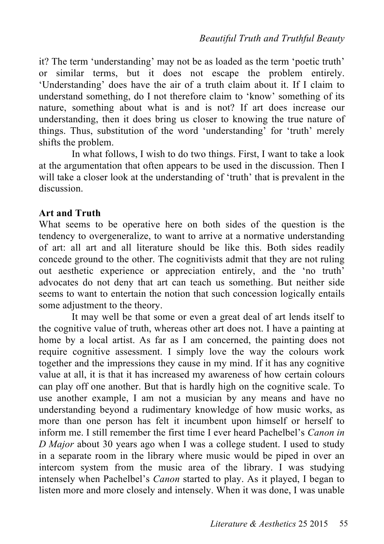it? The term 'understanding' may not be as loaded as the term 'poetic truth' or similar terms, but it does not escape the problem entirely. 'Understanding' does have the air of a truth claim about it. If I claim to understand something, do I not therefore claim to 'know' something of its nature, something about what is and is not? If art does increase our understanding, then it does bring us closer to knowing the true nature of things. Thus, substitution of the word 'understanding' for 'truth' merely shifts the problem.

In what follows, I wish to do two things. First, I want to take a look at the argumentation that often appears to be used in the discussion. Then I will take a closer look at the understanding of 'truth' that is prevalent in the discussion.

#### **Art and Truth**

What seems to be operative here on both sides of the question is the tendency to overgeneralize, to want to arrive at a normative understanding of art: all art and all literature should be like this. Both sides readily concede ground to the other. The cognitivists admit that they are not ruling out aesthetic experience or appreciation entirely, and the 'no truth' advocates do not deny that art can teach us something. But neither side seems to want to entertain the notion that such concession logically entails some adjustment to the theory.

It may well be that some or even a great deal of art lends itself to the cognitive value of truth, whereas other art does not. I have a painting at home by a local artist. As far as I am concerned, the painting does not require cognitive assessment. I simply love the way the colours work together and the impressions they cause in my mind. If it has any cognitive value at all, it is that it has increased my awareness of how certain colours can play off one another. But that is hardly high on the cognitive scale. To use another example, I am not a musician by any means and have no understanding beyond a rudimentary knowledge of how music works, as more than one person has felt it incumbent upon himself or herself to inform me. I still remember the first time I ever heard Pachelbel's *Canon in D Major* about 30 years ago when I was a college student. I used to study in a separate room in the library where music would be piped in over an intercom system from the music area of the library. I was studying intensely when Pachelbel's *Canon* started to play. As it played, I began to listen more and more closely and intensely. When it was done, I was unable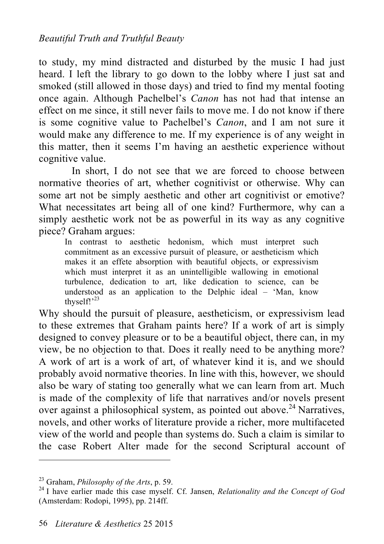to study, my mind distracted and disturbed by the music I had just heard. I left the library to go down to the lobby where I just sat and smoked (still allowed in those days) and tried to find my mental footing once again. Although Pachelbel's *Canon* has not had that intense an effect on me since, it still never fails to move me. I do not know if there is some cognitive value to Pachelbel's *Canon*, and I am not sure it would make any difference to me. If my experience is of any weight in this matter, then it seems I'm having an aesthetic experience without cognitive value.

In short, I do not see that we are forced to choose between normative theories of art, whether cognitivist or otherwise. Why can some art not be simply aesthetic and other art cognitivist or emotive? What necessitates art being all of one kind? Furthermore, why can a simply aesthetic work not be as powerful in its way as any cognitive piece? Graham argues:

In contrast to aesthetic hedonism, which must interpret such commitment as an excessive pursuit of pleasure, or aestheticism which makes it an effete absorption with beautiful objects, or expressivism which must interpret it as an unintelligible wallowing in emotional turbulence, dedication to art, like dedication to science, can be understood as an application to the Delphic ideal – 'Man, know thyself!'<sup>23</sup>

Why should the pursuit of pleasure, aestheticism, or expressivism lead to these extremes that Graham paints here? If a work of art is simply designed to convey pleasure or to be a beautiful object, there can, in my view, be no objection to that. Does it really need to be anything more? A work of art is a work of art, of whatever kind it is, and we should probably avoid normative theories. In line with this, however, we should also be wary of stating too generally what we can learn from art. Much is made of the complexity of life that narratives and/or novels present over against a philosophical system, as pointed out above.<sup>24</sup> Narratives, novels, and other works of literature provide a richer, more multifaceted view of the world and people than systems do. Such a claim is similar to the case Robert Alter made for the second Scriptural account of

<sup>23</sup> Graham, *Philosophy of the Arts*, p. 59. <sup>24</sup> I have earlier made this case myself. Cf. Jansen, *Relationality and the Concept of God* (Amsterdam: Rodopi, 1995), pp. 214ff.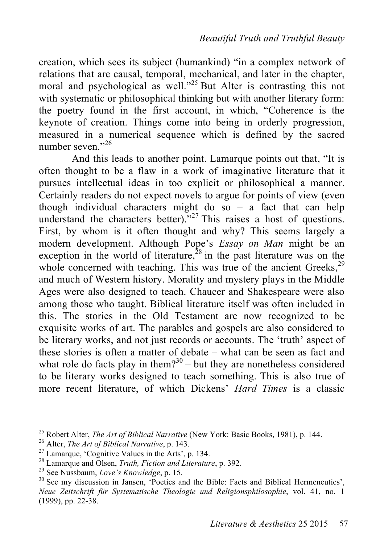creation, which sees its subject (humankind) "in a complex network of relations that are causal, temporal, mechanical, and later in the chapter, moral and psychological as well."<sup>25</sup> But Alter is contrasting this not with systematic or philosophical thinking but with another literary form: the poetry found in the first account, in which, "Coherence is the keynote of creation. Things come into being in orderly progression, measured in a numerical sequence which is defined by the sacred number seven<sup>"26</sup>

And this leads to another point. Lamarque points out that, "It is often thought to be a flaw in a work of imaginative literature that it pursues intellectual ideas in too explicit or philosophical a manner. Certainly readers do not expect novels to argue for points of view (even though individual characters might do so – a fact that can help understand the characters better)."<sup>27</sup> This raises a host of questions. First, by whom is it often thought and why? This seems largely a modern development. Although Pope's *Essay on Man* might be an exception in the world of literature,  $28$  in the past literature was on the whole concerned with teaching. This was true of the ancient Greeks,<sup>29</sup> and much of Western history. Morality and mystery plays in the Middle Ages were also designed to teach. Chaucer and Shakespeare were also among those who taught. Biblical literature itself was often included in this. The stories in the Old Testament are now recognized to be exquisite works of art. The parables and gospels are also considered to be literary works, and not just records or accounts. The 'truth' aspect of these stories is often a matter of debate – what can be seen as fact and what role do facts play in them?<sup>30</sup> – but they are nonetheless considered to be literary works designed to teach something. This is also true of more recent literature, of which Dickens' *Hard Times* is a classic

<sup>&</sup>lt;sup>25</sup> Robert Alter, *The Art of Biblical Narrative* (New York: Basic Books, 1981), p. 144.<br><sup>26</sup> Alter, *The Art of Biblical Narrative*, p. 143.<br><sup>27</sup> Lamarque, 'Cognitive Values in the Arts', p. 134.<br><sup>28</sup> Lamarque and Olsen

*Neue Zeitschrift für Systematische Theologie und Religionsphilosophie*, vol. 41, no. 1 (1999), pp. 22-38.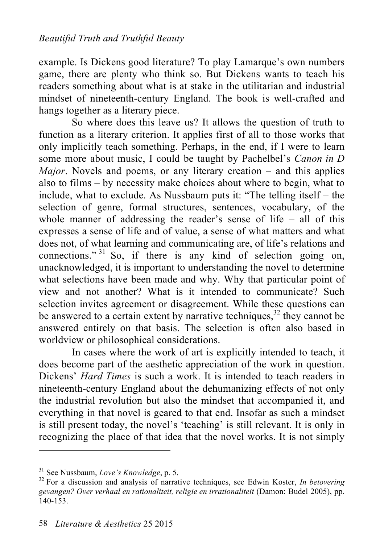example. Is Dickens good literature? To play Lamarque's own numbers game, there are plenty who think so. But Dickens wants to teach his readers something about what is at stake in the utilitarian and industrial mindset of nineteenth-century England. The book is well-crafted and hangs together as a literary piece.

So where does this leave us? It allows the question of truth to function as a literary criterion. It applies first of all to those works that only implicitly teach something. Perhaps, in the end, if I were to learn some more about music, I could be taught by Pachelbel's *Canon in D Major*. Novels and poems, or any literary creation – and this applies also to films – by necessity make choices about where to begin, what to include, what to exclude. As Nussbaum puts it: "The telling itself – the selection of genre, formal structures, sentences, vocabulary, of the whole manner of addressing the reader's sense of life – all of this expresses a sense of life and of value, a sense of what matters and what does not, of what learning and communicating are, of life's relations and connections."<sup>31</sup> So, if there is any kind of selection going on, unacknowledged, it is important to understanding the novel to determine what selections have been made and why. Why that particular point of view and not another? What is it intended to communicate? Such selection invites agreement or disagreement. While these questions can be answered to a certain extent by narrative techniques, $32$  they cannot be answered entirely on that basis. The selection is often also based in worldview or philosophical considerations.

In cases where the work of art is explicitly intended to teach, it does become part of the aesthetic appreciation of the work in question. Dickens' *Hard Times* is such a work. It is intended to teach readers in nineteenth-century England about the dehumanizing effects of not only the industrial revolution but also the mindset that accompanied it, and everything in that novel is geared to that end. Insofar as such a mindset is still present today, the novel's 'teaching' is still relevant. It is only in recognizing the place of that idea that the novel works. It is not simply

<sup>&</sup>lt;sup>31</sup> See Nussbaum, *Love's Knowledge*, p. 5.<br><sup>32</sup> For a discussion and analysis of narrative techniques, see Edwin Koster, *In betovering gevangen? Over verhaal en rationaliteit, religie en irrationaliteit* (Damon: Budel 2005), pp. 140-153.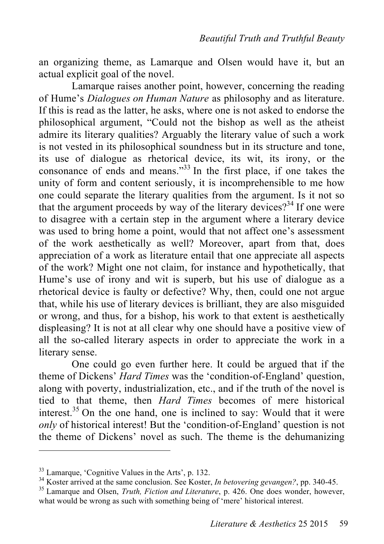an organizing theme, as Lamarque and Olsen would have it, but an actual explicit goal of the novel.

Lamarque raises another point, however, concerning the reading of Hume's *Dialogues on Human Nature* as philosophy and as literature. If this is read as the latter, he asks, where one is not asked to endorse the philosophical argument, "Could not the bishop as well as the atheist admire its literary qualities? Arguably the literary value of such a work is not vested in its philosophical soundness but in its structure and tone, its use of dialogue as rhetorical device, its wit, its irony, or the consonance of ends and means."33 In the first place, if one takes the unity of form and content seriously, it is incomprehensible to me how one could separate the literary qualities from the argument. Is it not so that the argument proceeds by way of the literary devices?<sup>34</sup> If one were to disagree with a certain step in the argument where a literary device was used to bring home a point, would that not affect one's assessment of the work aesthetically as well? Moreover, apart from that, does appreciation of a work as literature entail that one appreciate all aspects of the work? Might one not claim, for instance and hypothetically, that Hume's use of irony and wit is superb, but his use of dialogue as a rhetorical device is faulty or defective? Why, then, could one not argue that, while his use of literary devices is brilliant, they are also misguided or wrong, and thus, for a bishop, his work to that extent is aesthetically displeasing? It is not at all clear why one should have a positive view of all the so-called literary aspects in order to appreciate the work in a literary sense.

One could go even further here. It could be argued that if the theme of Dickens' *Hard Times* was the 'condition-of-England' question, along with poverty, industrialization, etc., and if the truth of the novel is tied to that theme, then *Hard Times* becomes of mere historical interest.<sup>35</sup> On the one hand, one is inclined to say: Would that it were *only* of historical interest! But the 'condition-of-England' question is not the theme of Dickens' novel as such. The theme is the dehumanizing

<sup>&</sup>lt;sup>33</sup> Lamarque, 'Cognitive Values in the Arts', p. 132.<br><sup>34</sup> Koster arrived at the same conclusion. See Koster, *In betovering gevangen*?, pp. 340-45.<br><sup>35</sup> Lamarque and Olsen, *Truth, Fiction and Literature*, p. 426. One d

what would be wrong as such with something being of 'mere' historical interest.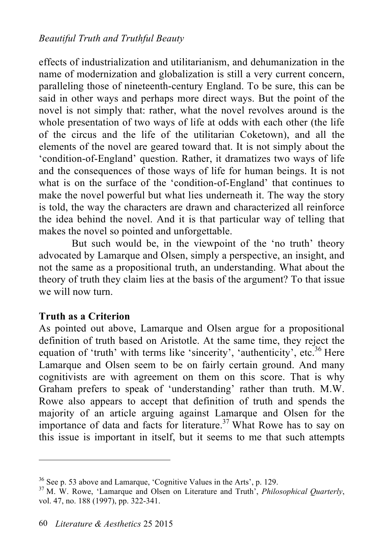effects of industrialization and utilitarianism, and dehumanization in the name of modernization and globalization is still a very current concern, paralleling those of nineteenth-century England. To be sure, this can be said in other ways and perhaps more direct ways. But the point of the novel is not simply that: rather, what the novel revolves around is the whole presentation of two ways of life at odds with each other (the life of the circus and the life of the utilitarian Coketown), and all the elements of the novel are geared toward that. It is not simply about the 'condition-of-England' question. Rather, it dramatizes two ways of life and the consequences of those ways of life for human beings. It is not what is on the surface of the 'condition-of-England' that continues to make the novel powerful but what lies underneath it. The way the story is told, the way the characters are drawn and characterized all reinforce the idea behind the novel. And it is that particular way of telling that makes the novel so pointed and unforgettable.

But such would be, in the viewpoint of the 'no truth' theory advocated by Lamarque and Olsen, simply a perspective, an insight, and not the same as a propositional truth, an understanding. What about the theory of truth they claim lies at the basis of the argument? To that issue we will now turn.

### **Truth as a Criterion**

 $\overline{a}$ 

As pointed out above, Lamarque and Olsen argue for a propositional definition of truth based on Aristotle. At the same time, they reject the equation of 'truth' with terms like 'sincerity', 'authenticity', etc.<sup>36</sup> Here Lamarque and Olsen seem to be on fairly certain ground. And many cognitivists are with agreement on them on this score. That is why Graham prefers to speak of 'understanding' rather than truth. M.W. Rowe also appears to accept that definition of truth and spends the majority of an article arguing against Lamarque and Olsen for the importance of data and facts for literature. 37 What Rowe has to say on this issue is important in itself, but it seems to me that such attempts

<sup>&</sup>lt;sup>36</sup> See p. 53 above and Lamarque, 'Cognitive Values in the Arts', p. 129.<br><sup>37</sup> M. W. Rowe, 'Lamarque and Olsen on Literature and Truth', *Philosophical Quarterly*, vol. 47, no. 188 (1997), pp. 322-341.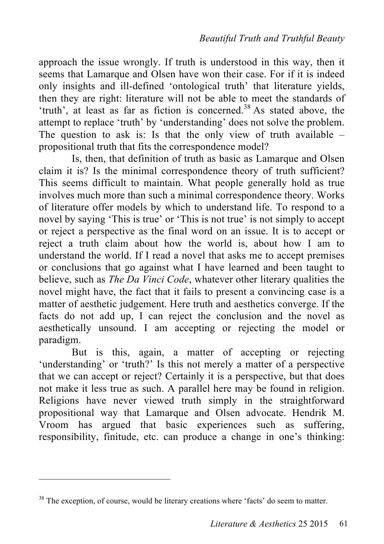approach the issue wrongly. If truth is understood in this way, then it seems that Lamarque and Olsen have won their case. For if it is indeed only insights and ill-defined 'ontological truth' that literature yields, then they are right: literature will not be able to meet the standards of 'truth', at least as far as fiction is concerned.<sup>38</sup> As stated above, the attempt to replace 'truth' by 'understanding' does not solve the problem. The question to ask is: Is that the only view of truth available  $$ propositional truth that fits the correspondence model?

Is, then, that definition of truth as basic as Lamarque and Olsen claim it is? Is the minimal correspondence theory of truth sufficient? This seems difficult to maintain. What people generally hold as true involves much more than such a minimal correspondence theory. Works of literature offer models by which to understand life. To respond to a novel by saying 'This is true' or 'This is not true' is not simply to accept or reject a perspective as the final word on an issue. It is to accept or reject a truth claim about how the world is, about how I am to understand the world. If I read a novel that asks me to accept premises or conclusions that go against what I have learned and been taught to believe, such as *The Da Vinci Code*, whatever other literary qualities the novel might have, the fact that it fails to present a convincing case is a matter of aesthetic judgement. Here truth and aesthetics converge. If the facts do not add up, I can reject the conclusion and the novel as aesthetically unsound. I am accepting or rejecting the model or paradigm.

But is this, again, a matter of accepting or rejecting 'understanding' or 'truth?' Is this not merely a matter of a perspective that we can accept or reject? Certainly it is a perspective, but that does not make it less true as such. A parallel here may be found in religion. Religions have never viewed truth simply in the straightforward propositional way that Lamarque and Olsen advocate. Hendrik M. Vroom has argued that basic experiences such as suffering, responsibility, finitude, etc. can produce a change in one's thinking:

<sup>&</sup>lt;sup>38</sup> The exception, of course, would be literary creations where 'facts' do seem to matter.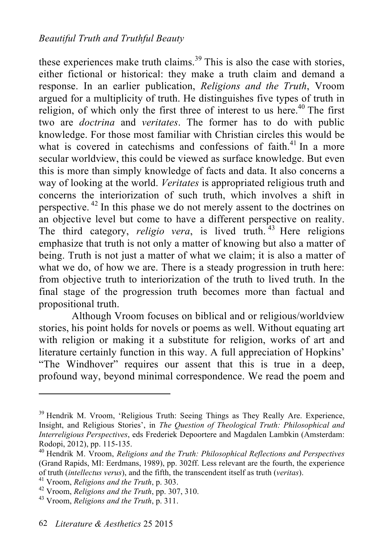these experiences make truth claims.<sup>39</sup> This is also the case with stories, either fictional or historical: they make a truth claim and demand a response. In an earlier publication, *Religions and the Truth*, Vroom argued for a multiplicity of truth. He distinguishes five types of truth in religion, of which only the first three of interest to us here.<sup>40</sup> The first two are *doctrina* and *veritates*. The former has to do with public knowledge. For those most familiar with Christian circles this would be what is covered in catechisms and confessions of faith.<sup>41</sup> In a more secular worldview, this could be viewed as surface knowledge. But even this is more than simply knowledge of facts and data. It also concerns a way of looking at the world. *Veritates* is appropriated religious truth and concerns the interiorization of such truth, which involves a shift in perspective. 42 In this phase we do not merely assent to the doctrines on an objective level but come to have a different perspective on reality. The third category, *religio vera*, is lived truth.<sup>43</sup> Here religions emphasize that truth is not only a matter of knowing but also a matter of being. Truth is not just a matter of what we claim; it is also a matter of what we do, of how we are. There is a steady progression in truth here: from objective truth to interiorization of the truth to lived truth. In the final stage of the progression truth becomes more than factual and propositional truth.

Although Vroom focuses on biblical and or religious/worldview stories, his point holds for novels or poems as well. Without equating art with religion or making it a substitute for religion, works of art and literature certainly function in this way. A full appreciation of Hopkins' "The Windhover" requires our assent that this is true in a deep, profound way, beyond minimal correspondence. We read the poem and

<sup>&</sup>lt;sup>39</sup> Hendrik M. Vroom, 'Religious Truth: Seeing Things as They Really Are. Experience, Insight, and Religious Stories', in *The Question of Theological Truth: Philosophical and Interreligious Perspectives*, eds Frederiek Depoortere and Magdalen Lambkin (Amsterdam: Rodopi, 2012), pp. 115-135.<br><sup>40</sup> Hendrik M. Vroom, *Religions and the Truth: Philosophical Reflections and Perspectives* 

<sup>(</sup>Grand Rapids, MI: Eerdmans, 1989), pp. 302ff. Less relevant are the fourth, the experience of truth *(intellectus verus)*, and the fifth, the transcendent itself as truth *(veritas)*.<br><sup>41</sup> Vroom, *Religions and the Truth*, p. 303.<br><sup>42</sup> Vroom, *Religions and the Truth*, pp. 307, 310.<br><sup>43</sup> Vroom. *Religions and t*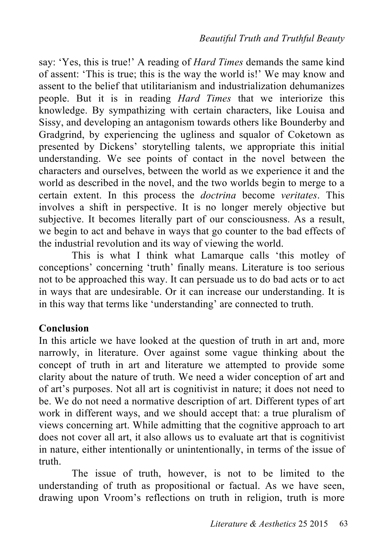say: 'Yes, this is true!' A reading of *Hard Times* demands the same kind of assent: 'This is true; this is the way the world is!' We may know and assent to the belief that utilitarianism and industrialization dehumanizes people. But it is in reading *Hard Times* that we interiorize this knowledge. By sympathizing with certain characters, like Louisa and Sissy, and developing an antagonism towards others like Bounderby and Gradgrind, by experiencing the ugliness and squalor of Coketown as presented by Dickens' storytelling talents, we appropriate this initial understanding. We see points of contact in the novel between the characters and ourselves, between the world as we experience it and the world as described in the novel, and the two worlds begin to merge to a certain extent. In this process the *doctrina* become *veritates*. This involves a shift in perspective. It is no longer merely objective but subjective. It becomes literally part of our consciousness. As a result, we begin to act and behave in ways that go counter to the bad effects of the industrial revolution and its way of viewing the world.

This is what I think what Lamarque calls 'this motley of conceptions' concerning 'truth' finally means. Literature is too serious not to be approached this way. It can persuade us to do bad acts or to act in ways that are undesirable. Or it can increase our understanding. It is in this way that terms like 'understanding' are connected to truth.

### **Conclusion**

In this article we have looked at the question of truth in art and, more narrowly, in literature. Over against some vague thinking about the concept of truth in art and literature we attempted to provide some clarity about the nature of truth. We need a wider conception of art and of art's purposes. Not all art is cognitivist in nature; it does not need to be. We do not need a normative description of art. Different types of art work in different ways, and we should accept that: a true pluralism of views concerning art. While admitting that the cognitive approach to art does not cover all art, it also allows us to evaluate art that is cognitivist in nature, either intentionally or unintentionally, in terms of the issue of truth.

The issue of truth, however, is not to be limited to the understanding of truth as propositional or factual. As we have seen, drawing upon Vroom's reflections on truth in religion, truth is more